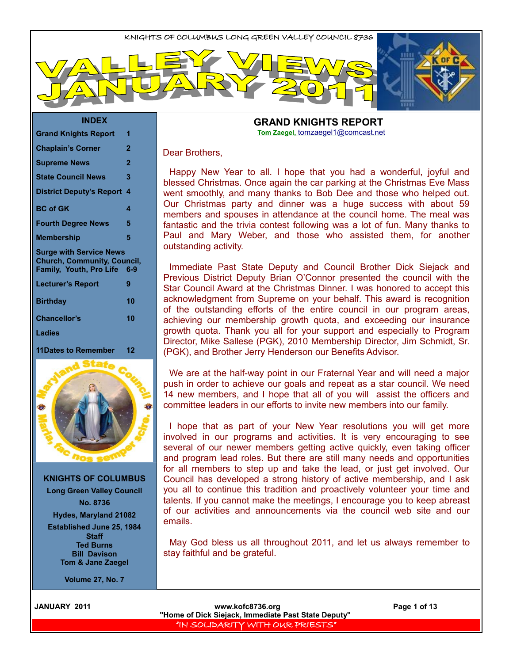#### **INDEX**

| <b>Grand Knights Report</b>                                                                     | 1              |
|-------------------------------------------------------------------------------------------------|----------------|
| <b>Chaplain's Corner</b>                                                                        | $\overline{2}$ |
| <b>Supreme News</b>                                                                             | 2              |
| <b>State Council News</b>                                                                       | 3              |
| <b>District Deputy's Report</b>                                                                 | 4              |
| <b>BC of GK</b>                                                                                 | 4              |
| <b>Fourth Degree News</b>                                                                       | 5              |
| <b>Membership</b>                                                                               | 5              |
| <b>Surge with Service News</b><br><b>Church, Community, Council,</b><br>Family, Youth, Pro Life | 6-9            |
| <b>Lecturer's Report</b>                                                                        | 9              |
| <b>Birthday</b>                                                                                 | 10             |
| <b>Chancellor's</b>                                                                             | 10             |
| <b>Ladies</b>                                                                                   |                |
| 11Dates to Remember                                                                             | 12             |



**KNIGHTS OF COLUMBUS Long Green Valley Council No. 8736**

**Hydes, Maryland 21082**

**Established June 25, 1984 Staff Ted Burns Bill Davison Tom & Jane Zaegel**

**Volume 27, No. 7**

#### **GRAND KNIGHTS REPORT Tom Zaegel,** [tomzaegel1@comcast.net](mailto:tomzaegel1@comcast.net)

#### Dear Brothers,

Happy New Year to all. I hope that you had a wonderful, joyful and blessed Christmas. Once again the car parking at the Christmas Eve Mass went smoothly, and many thanks to Bob Dee and those who helped out. Our Christmas party and dinner was a huge success with about 59 members and spouses in attendance at the council home. The meal was fantastic and the trivia contest following was a lot of fun. Many thanks to Paul and Mary Weber, and those who assisted them, for another outstanding activity.

Immediate Past State Deputy and Council Brother Dick Siejack and Previous District Deputy Brian O'Connor presented the council with the Star Council Award at the Christmas Dinner. I was honored to accept this acknowledgment from Supreme on your behalf. This award is recognition of the outstanding efforts of the entire council in our program areas, achieving our membership growth quota, and exceeding our insurance growth quota. Thank you all for your support and especially to Program Director, Mike Sallese (PGK), 2010 Membership Director, Jim Schmidt, Sr. (PGK), and Brother Jerry Henderson our Benefits Advisor.

We are at the half-way point in our Fraternal Year and will need a major push in order to achieve our goals and repeat as a star council. We need 14 new members, and I hope that all of you will assist the officers and committee leaders in our efforts to invite new members into our family.

I hope that as part of your New Year resolutions you will get more involved in our programs and activities. It is very encouraging to see several of our newer members getting active quickly, even taking officer and program lead roles. But there are still many needs and opportunities for all members to step up and take the lead, or just get involved. Our Council has developed a strong history of active membership, and I ask you all to continue this tradition and proactively volunteer your time and talents. If you cannot make the meetings, I encourage you to keep abreast of our activities and announcements via the council web site and our emails.

May God bless us all throughout 2011, and let us always remember to stay faithful and be grateful.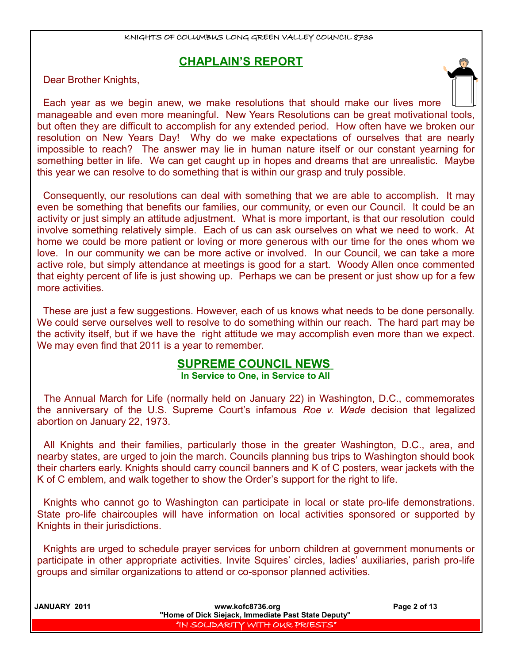## **CHAPLAIN'S REPORT**

Dear Brother Knights,

Each year as we begin anew, we make resolutions that should make our lives more manageable and even more meaningful. New Years Resolutions can be great motivational tools, but often they are difficult to accomplish for any extended period. How often have we broken our resolution on New Years Day! Why do we make expectations of ourselves that are nearly impossible to reach? The answer may lie in human nature itself or our constant yearning for something better in life. We can get caught up in hopes and dreams that are unrealistic. Maybe this year we can resolve to do something that is within our grasp and truly possible.

Consequently, our resolutions can deal with something that we are able to accomplish. It may even be something that benefits our families, our community, or even our Council. It could be an activity or just simply an attitude adjustment. What is more important, is that our resolution could involve something relatively simple. Each of us can ask ourselves on what we need to work. At home we could be more patient or loving or more generous with our time for the ones whom we love. In our community we can be more active or involved. In our Council, we can take a more active role, but simply attendance at meetings is good for a start. Woody Allen once commented that eighty percent of life is just showing up. Perhaps we can be present or just show up for a few more activities.

These are just a few suggestions. However, each of us knows what needs to be done personally. We could serve ourselves well to resolve to do something within our reach. The hard part may be the activity itself, but if we have the right attitude we may accomplish even more than we expect. We may even find that 2011 is a year to remember.

## **SUPREME COUNCIL NEWS**

**In Service to One, in Service to All** 

The Annual March for Life (normally held on January 22) in Washington, D.C., commemorates the anniversary of the U.S. Supreme Court's infamous *Roe v. Wade* decision that legalized abortion on January 22, 1973.

All Knights and their families, particularly those in the greater Washington, D.C., area, and nearby states, are urged to join the march. Councils planning bus trips to Washington should book their charters early. Knights should carry council banners and K of C posters, wear jackets with the K of C emblem, and walk together to show the Order's support for the right to life.

Knights who cannot go to Washington can participate in local or state pro-life demonstrations. State pro-life chaircouples will have information on local activities sponsored or supported by Knights in their jurisdictions.

Knights are urged to schedule prayer services for unborn children at government monuments or participate in other appropriate activities. Invite Squires' circles, ladies' auxiliaries, parish pro-life groups and similar organizations to attend or co-sponsor planned activities.

| JANUARY 2011 | www.kofc8736.org                                    | Page 2 of 13 |
|--------------|-----------------------------------------------------|--------------|
|              | "Home of Dick Siejack, Immediate Past State Deputy" |              |
|              | I "IN SOLIDARITY WITH OUR PRIESTS" I                |              |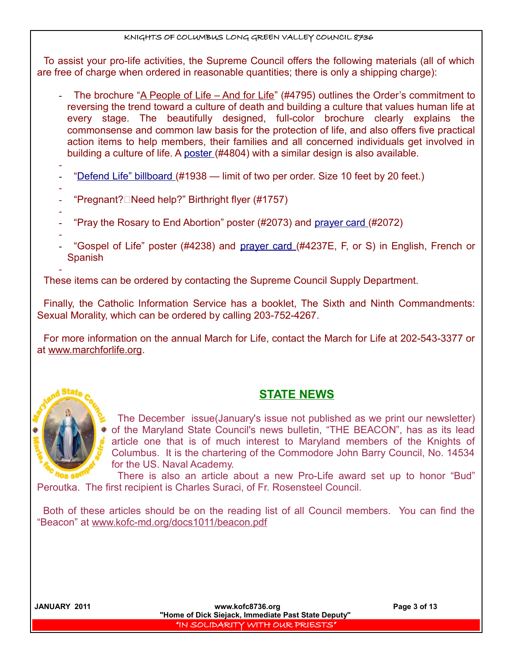To assist your pro-life activities, the Supreme Council offers the following materials (all of which are free of charge when ordered in reasonable quantities; there is only a shipping charge):

- The brochure ["A People of Life And for Life"](http://www.kofc.org/un/en/resources/prolife/prolife_flyer.pdf) (#4795) outlines the Order's commitment to reversing the trend toward a culture of death and building a culture that values human life at every stage. The beautifully designed, full-color brochure clearly explains the commonsense and common law basis for the protection of life, and also offers five practical action items to help members, their families and all concerned individuals get involved in building a culture of life. A [poster](http://www.kofc.org/un/en/resources/prolife/4804.pdf) (#4804) with a similar design is also available.
- -
- [" Defend Life" billboard](http://www.kofc.org/un/en/graphics/prolife_billboard.jpg) (#1938 limit of two per order. Size 10 feet by 20 feet.)
- "Pregnant?□Need help?" Birthright flyer (#1757)
- - "Pray the Rosary to End Abortion" poster (#2073) and [prayer card](http://www.kofc.org/un/en/graphics/2072.jpg) (#2072)
- "Gospel of Life" poster (#4238) and [prayer card](http://www.kofc.org/un/en/graphics/4237.jpg) (#4237E, F, or S) in English, French or Spanish

- These items can be ordered by contacting the Supreme Council Supply Department.

Finally, the Catholic Information Service has a booklet, The Sixth and Ninth Commandments: Sexual Morality, which can be ordered by calling 203-752-4267.

For more information on the annual March for Life, contact the March for Life at 202-543-3377 or at [www.marchforlife.org.](http://www.marchforlife.org/)



# **STATE NEWS**

The December issue(January's issue not published as we print our newsletter) of the Maryland State Council's news bulletin, "THE BEACON", has as its lead article one that is of much interest to Maryland members of the Knights of Columbus. It is the chartering of the Commodore John Barry Council, No. 14534 for the US. Naval Academy.

There is also an article about a new Pro-Life award set up to honor "Bud" Peroutka. The first recipient is Charles Suraci, of Fr. Rosensteel Council.

Both of these articles should be on the reading list of all Council members. You can find the "Beacon" at www.kofc-md.org/docs1011/beacon.pdf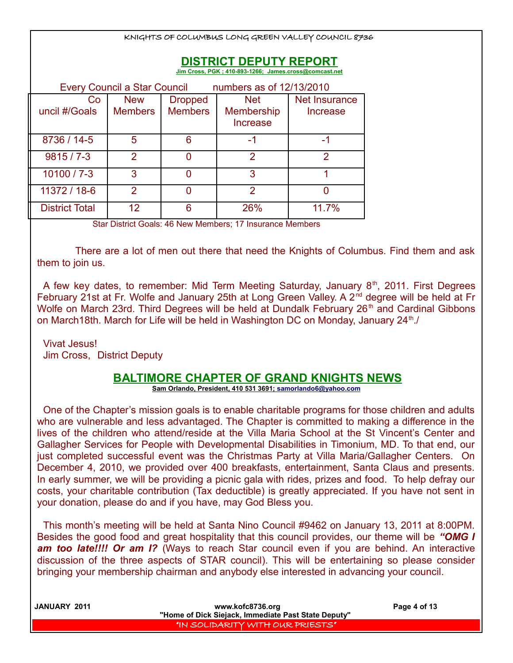| KNIGHTS OF COLUMBUS LONG GREEN VALLEY COUNCIL 8736                                      |                              |                                  |                                                    |                           |
|-----------------------------------------------------------------------------------------|------------------------------|----------------------------------|----------------------------------------------------|---------------------------|
| <b>DISTRICT DEPUTY REPORT</b><br>Jim Cross, PGK ; 410-893-1266; James.cross@comcast.net |                              |                                  |                                                    |                           |
|                                                                                         | Every Council a Star Council |                                  | numbers as of 12/13/2010                           |                           |
| Co<br>uncil #/Goals                                                                     | <b>New</b><br><b>Members</b> | <b>Dropped</b><br><b>Members</b> | <b>Net</b><br><b>Membership</b><br><b>Increase</b> | Net Insurance<br>Increase |
| 8736 / 14-5                                                                             | 5                            | 6                                | -1                                                 | -1                        |
| $9815/7 - 3$                                                                            | $\overline{2}$               | 0                                | $\overline{2}$                                     | 2                         |
| $10100 / 7 - 3$                                                                         | 3                            | ŋ                                | 3                                                  | 1                         |
| 11372 / 18-6                                                                            | $\overline{2}$               | 0                                | 2                                                  | ∩                         |
| <b>District Total</b>                                                                   | 12                           | 6                                | 26%                                                | 11.7%                     |

Star District Goals: 46 New Members; 17 Insurance Members

 There are a lot of men out there that need the Knights of Columbus. Find them and ask them to join us.

A few key dates, to remember: Mid Term Meeting Saturday, January  $8<sup>th</sup>$ , 2011. First Degrees February 21st at Fr. Wolfe and January 25th at Long Green Valley. A 2<sup>nd</sup> degree will be held at Fr Wolfe on March 23rd. Third Degrees will be held at Dundalk February 26<sup>th</sup> and Cardinal Gibbons on March18th. March for Life will be held in Washington DC on Monday, January 24<sup>th</sup>./

Vivat Jesus! Jim Cross, District Deputy

### **BALTIMORE CHAPTER OF GRAND KNIGHTS NEWS**

 **Sam Orlando, President, 410 531 3691; [samorlando6@yahoo.com](mailto:samorlando6@yahoo.com)**

One of the Chapter's mission goals is to enable charitable programs for those children and adults who are vulnerable and less advantaged. The Chapter is committed to making a difference in the lives of the children who attend/reside at the Villa Maria School at the St Vincent's Center and Gallagher Services for People with Developmental Disabilities in Timonium, MD. To that end, our just completed successful event was the Christmas Party at Villa Maria/Gallagher Centers. On December 4, 2010, we provided over 400 breakfasts, entertainment, Santa Claus and presents. In early summer, we will be providing a picnic gala with rides, prizes and food. To help defray our costs, your charitable contribution (Tax deductible) is greatly appreciated. If you have not sent in your donation, please do and if you have, may God Bless you.

This month's meeting will be held at Santa Nino Council #9462 on January 13, 2011 at 8:00PM. Besides the good food and great hospitality that this council provides, our theme will be *"OMG I* **am too late!!!! Or am I?** (Ways to reach Star council even if you are behind. An interactive discussion of the three aspects of STAR council). This will be entertaining so please consider bringing your membership chairman and anybody else interested in advancing your council.

| JANUARY 2011 | www.kofc8736.org                                    | Page 4 of 13 |
|--------------|-----------------------------------------------------|--------------|
|              | "Home of Dick Siejack, Immediate Past State Deputy" |              |
|              | "IN SOLIDARITY WITH OUR PRIESTS"                    |              |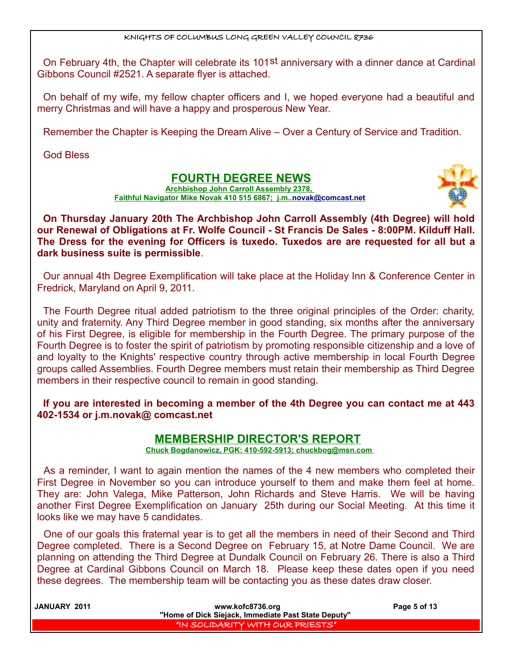On February 4th, the Chapter will celebrate its 101<sup>st</sup> anniversary with a dinner dance at Cardinal Gibbons Council #2521. A separate flyer is attached.

On behalf of my wife, my fellow chapter officers and I, we hoped everyone had a beautiful and merry Christmas and will have a happy and prosperous New Year.

Remember the Chapter is Keeping the Dream Alive – Over a Century of Service and Tradition.

God Bless

## **FOURTH DEGREE NEWS**

**Archbishop John Carroll Assembly 2378, Faithful Navigator Mike Novak 410 515 6867; j.m.[. novak@comcast.net](mailto:novak@comcast.net)**



**On Thursday January 20th The Archbishop John Carroll Assembly (4th Degree) will hold our Renewal of Obligations at Fr. Wolfe Council - St Francis De Sales - 8:00PM. Kilduff Hall. The Dress for the evening for Officers is tuxedo. Tuxedos are are requested for all but a dark business suite is permissible**.

Our annual 4th Degree Exemplification will take place at the Holiday Inn & Conference Center in Fredrick, Maryland on April 9, 2011.

The Fourth Degree ritual added patriotism to the three original principles of the Order: charity, unity and fraternity. Any Third Degree member in good standing, six months after the anniversary of his First Degree, is eligible for membership in the Fourth Degree. The primary purpose of the Fourth Degree is to foster the spirit of patriotism by promoting responsible citizenship and a love of and loyalty to the Knights' respective country through active membership in local Fourth Degree groups called Assemblies. Fourth Degree members must retain their membership as Third Degree members in their respective council to remain in good standing.

**If you are interested in becoming a member of the 4th Degree you can contact me at 443 402-1534 or j.m.novak@ comcast.net**

### **MEMBERSHIP DIRECTOR'S REPORT**

 **Chuck Bogdanowicz, PGK: 410-592-5913; chuckbog@msn.com** 

As a reminder, I want to again mention the names of the 4 new members who completed their First Degree in November so you can introduce yourself to them and make them feel at home. They are: John Valega, Mike Patterson, John Richards and Steve Harris. We will be having another First Degree Exemplification on January 25th during our Social Meeting. At this time it looks like we may have 5 candidates.

One of our goals this fraternal year is to get all the members in need of their Second and Third Degree completed. There is a Second Degree on February 15, at Notre Dame Council. We are planning on attending the Third Degree at Dundalk Council on February 26. There is also a Third Degree at Cardinal Gibbons Council on March 18. Please keep these dates open if you need these degrees. The membership team will be contacting you as these dates draw closer.

| <b>JANUARY 2011</b> | www.kofc8736.org                                    | Page 5 of 13 |
|---------------------|-----------------------------------------------------|--------------|
|                     | "Home of Dick Siejack, Immediate Past State Deputy" |              |
|                     | I "IN SOLIDARITY WITH OUR PRIESTS" I                |              |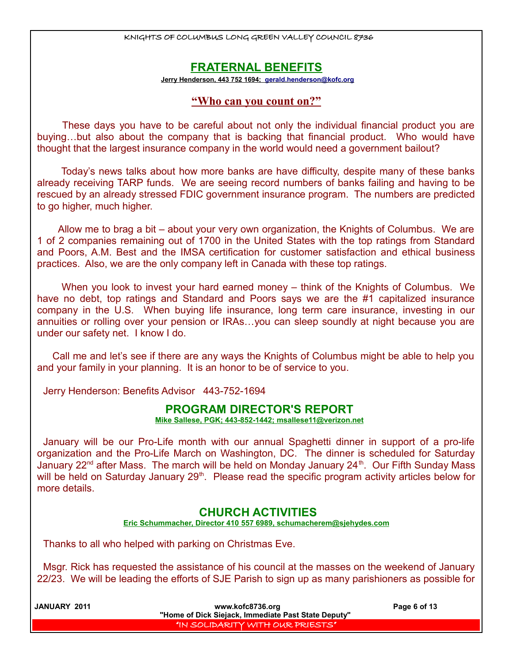### **FRATERNAL BENEFITS**

 **Jerry Henderson, 443 752 1694; [gerald.henderson@kofc.org](mailto:gerald.henderson@kofc.org)**

### **"Who can you count on?"**

 These days you have to be careful about not only the individual financial product you are buying…but also about the company that is backing that financial product. Who would have thought that the largest insurance company in the world would need a government bailout?

 Today's news talks about how more banks are have difficulty, despite many of these banks already receiving TARP funds. We are seeing record numbers of banks failing and having to be rescued by an already stressed FDIC government insurance program. The numbers are predicted to go higher, much higher.

 Allow me to brag a bit – about your very own organization, the Knights of Columbus. We are 1 of 2 companies remaining out of 1700 in the United States with the top ratings from Standard and Poors, A.M. Best and the IMSA certification for customer satisfaction and ethical business practices. Also, we are the only company left in Canada with these top ratings.

 When you look to invest your hard earned money – think of the Knights of Columbus. We have no debt, top ratings and Standard and Poors says we are the #1 capitalized insurance company in the U.S. When buying life insurance, long term care insurance, investing in our annuities or rolling over your pension or IRAs…you can sleep soundly at night because you are under our safety net. I know I do.

 Call me and let's see if there are any ways the Knights of Columbus might be able to help you and your family in your planning. It is an honor to be of service to you.

Jerry Henderson: Benefits Advisor 443-752-1694

### **PROGRAM DIRECTOR'S REPORT**

 **Mike Sallese, PGK; 443-852-1442; msallese11@verizon.net**

January will be our Pro-Life month with our annual Spaghetti dinner in support of a pro-life organization and the Pro-Life March on Washington, DC. The dinner is scheduled for Saturday January 22<sup>nd</sup> after Mass. The march will be held on Monday January 24<sup>th</sup>. Our Fifth Sunday Mass will be held on Saturday January 29<sup>th</sup>. Please read the specific program activity articles below for more details.

### **CHURCH ACTIVITIES**

 **Eric Schummacher, Director 410 557 6989, schumacherem@sjehydes.com**

Thanks to all who helped with parking on Christmas Eve.

Msgr. Rick has requested the assistance of his council at the masses on the weekend of January 22/23. We will be leading the efforts of SJE Parish to sign up as many parishioners as possible for

| JANUARY 2011 | www.kofc8736.org                                    | Page 6 of 13 |
|--------------|-----------------------------------------------------|--------------|
|              | "Home of Dick Siejack, Immediate Past State Deputy" |              |
|              | I "IN SOLIDARITY WITH OUR PRIESTS" I                |              |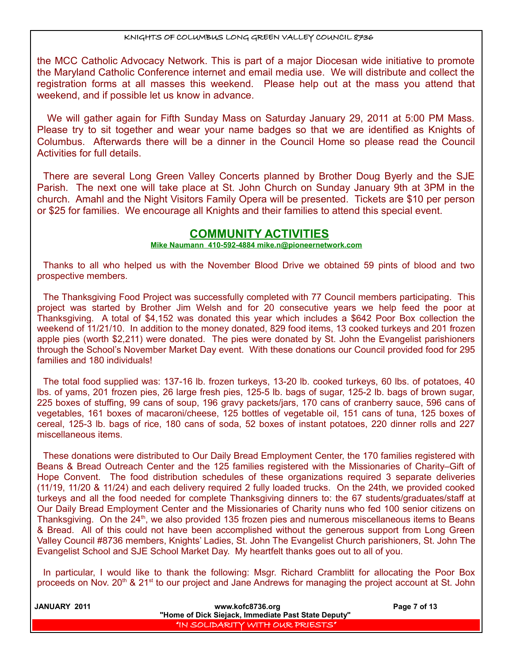the MCC Catholic Advocacy Network. This is part of a major Diocesan wide initiative to promote the Maryland Catholic Conference internet and email media use. We will distribute and collect the registration forms at all masses this weekend. Please help out at the mass you attend that weekend, and if possible let us know in advance.

 We will gather again for Fifth Sunday Mass on Saturday January 29, 2011 at 5:00 PM Mass. Please try to sit together and wear your name badges so that we are identified as Knights of Columbus. Afterwards there will be a dinner in the Council Home so please read the Council Activities for full details.

There are several Long Green Valley Concerts planned by Brother Doug Byerly and the SJE Parish. The next one will take place at St. John Church on Sunday January 9th at 3PM in the church. Amahl and the Night Visitors Family Opera will be presented. Tickets are \$10 per person or \$25 for families. We encourage all Knights and their families to attend this special event.

### **COMMUNITY ACTIVITIES**

### **Mike Naumann 410-592-4884 mike.n@pioneernetwork.com**

Thanks to all who helped us with the November Blood Drive we obtained 59 pints of blood and two prospective members.

The Thanksgiving Food Project was successfully completed with 77 Council members participating. This project was started by Brother Jim Welsh and for 20 consecutive years we help feed the poor at Thanksgiving. A total of \$4,152 was donated this year which includes a \$642 Poor Box collection the weekend of 11/21/10. In addition to the money donated, 829 food items, 13 cooked turkeys and 201 frozen apple pies (worth \$2,211) were donated. The pies were donated by St. John the Evangelist parishioners through the School's November Market Day event. With these donations our Council provided food for 295 families and 180 individuals!

The total food supplied was: 137-16 lb. frozen turkeys, 13-20 lb. cooked turkeys, 60 lbs. of potatoes, 40 lbs. of yams, 201 frozen pies, 26 large fresh pies, 125-5 lb. bags of sugar, 125-2 lb. bags of brown sugar, 225 boxes of stuffing, 99 cans of soup, 196 gravy packets/jars, 170 cans of cranberry sauce, 596 cans of vegetables, 161 boxes of macaroni/cheese, 125 bottles of vegetable oil, 151 cans of tuna, 125 boxes of cereal, 125-3 lb. bags of rice, 180 cans of soda, 52 boxes of instant potatoes, 220 dinner rolls and 227 miscellaneous items.

These donations were distributed to Our Daily Bread Employment Center, the 170 families registered with Beans & Bread Outreach Center and the 125 families registered with the Missionaries of Charity–Gift of Hope Convent. The food distribution schedules of these organizations required 3 separate deliveries (11/19, 11/20 & 11/24) and each delivery required 2 fully loaded trucks. On the 24th, we provided cooked turkeys and all the food needed for complete Thanksgiving dinners to: the 67 students/graduates/staff at Our Daily Bread Employment Center and the Missionaries of Charity nuns who fed 100 senior citizens on Thanksgiving. On the 24<sup>th</sup>, we also provided 135 frozen pies and numerous miscellaneous items to Beans & Bread. All of this could not have been accomplished without the generous support from Long Green Valley Council #8736 members, Knights' Ladies, St. John The Evangelist Church parishioners, St. John The Evangelist School and SJE School Market Day. My heartfelt thanks goes out to all of you.

In particular, I would like to thank the following: Msgr. Richard Cramblitt for allocating the Poor Box proceeds on Nov. 20<sup>th</sup> & 21<sup>st</sup> to our project and Jane Andrews for managing the project account at St. John

| JANUARY 2011 | www.kofc8736.org                                    | Page 7 of 13 |
|--------------|-----------------------------------------------------|--------------|
|              | "Home of Dick Siejack, Immediate Past State Deputy" |              |
|              | I "IN SOLIDARITY WITH OUR PRIESTS" I                |              |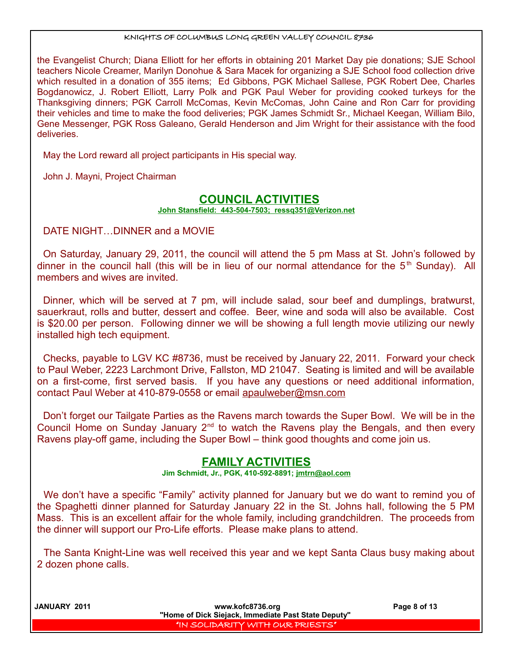the Evangelist Church; Diana Elliott for her efforts in obtaining 201 Market Day pie donations; SJE School teachers Nicole Creamer, Marilyn Donohue & Sara Macek for organizing a SJE School food collection drive which resulted in a donation of 355 items; Ed Gibbons, PGK Michael Sallese, PGK Robert Dee, Charles Bogdanowicz, J. Robert Elliott, Larry Polk and PGK Paul Weber for providing cooked turkeys for the Thanksgiving dinners; PGK Carroll McComas, Kevin McComas, John Caine and Ron Carr for providing their vehicles and time to make the food deliveries; PGK James Schmidt Sr., Michael Keegan, William Bilo, Gene Messenger, PGK Ross Galeano, Gerald Henderson and Jim Wright for their assistance with the food deliveries.

May the Lord reward all project participants in His special way.

John J. Mayni, Project Chairman

### **COUNCIL ACTIVITIES**

 **John Stansfield: 443-504-7503; ressq351@Verizon.net**

DATE NIGHT…DINNER and a MOVIE

On Saturday, January 29, 2011, the council will attend the 5 pm Mass at St. John's followed by dinner in the council hall (this will be in lieu of our normal attendance for the  $5<sup>th</sup>$  Sunday). All members and wives are invited.

Dinner, which will be served at 7 pm, will include salad, sour beef and dumplings, bratwurst, sauerkraut, rolls and butter, dessert and coffee. Beer, wine and soda will also be available. Cost is \$20.00 per person. Following dinner we will be showing a full length movie utilizing our newly installed high tech equipment.

Checks, payable to LGV KC #8736, must be received by January 22, 2011. Forward your check to Paul Weber, 2223 Larchmont Drive, Fallston, MD 21047. Seating is limited and will be available on a first-come, first served basis. If you have any questions or need additional information, contact Paul Weber at 410-879-0558 or email [apaulweber@msn.com](mailto:apaulweber@msn.com)

Don't forget our Tailgate Parties as the Ravens march towards the Super Bowl. We will be in the Council Home on Sunday January  $2^{nd}$  to watch the Ravens play the Bengals, and then every Ravens play-off game, including the Super Bowl – think good thoughts and come join us.

## **FAMILY ACTIVITIES**

**Jim Schmidt, Jr., PGK, 410-592-8891; jmtrn@aol.com**

We don't have a specific "Family" activity planned for January but we do want to remind you of the Spaghetti dinner planned for Saturday January 22 in the St. Johns hall, following the 5 PM Mass. This is an excellent affair for the whole family, including grandchildren. The proceeds from the dinner will support our Pro-Life efforts. Please make plans to attend.

The Santa Knight-Line was well received this year and we kept Santa Claus busy making about 2 dozen phone calls.

 **JANUARY 2011 www.kofc8736.org Page 8 of 13 "Home of Dick Siejack, Immediate Past State Deputy"**  "IN SOLIDARITY WITH OUR PRIESTS"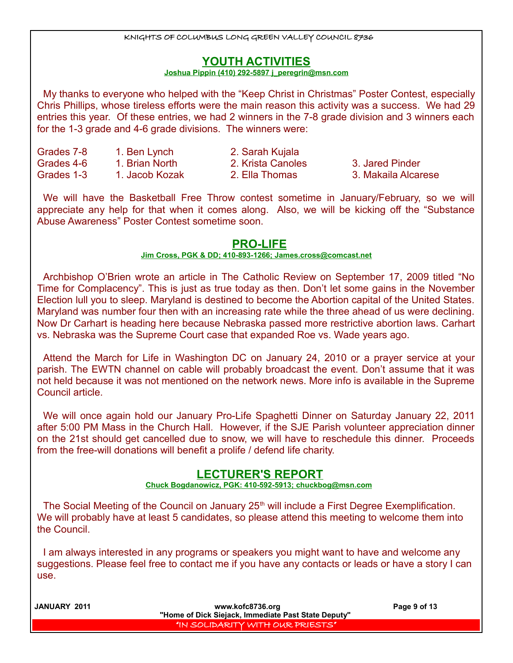## **YOUTH ACTIVITIES**

#### **Joshua Pippin (410) 292-5897 j\_peregrin@msn.com**

My thanks to everyone who helped with the "Keep Christ in Christmas" Poster Contest, especially Chris Phillips, whose tireless efforts were the main reason this activity was a success. We had 29 entries this year. Of these entries, we had 2 winners in the 7-8 grade division and 3 winners each for the 1-3 grade and 4-6 grade divisions. The winners were:

| Grades 7-8 | 1. Ben Lynch   |
|------------|----------------|
| Grades 4-6 | 1. Brian North |
| Grades 1-3 | 1. Jacob Kozak |

2. Sarah Kujala

2. Krista Canoles 3. Jared Pinder

2. Ella Thomas 3. Makaila Alcarese

We will have the Basketball Free Throw contest sometime in January/February, so we will appreciate any help for that when it comes along. Also, we will be kicking off the "Substance Abuse Awareness" Poster Contest sometime soon.

## **PRO-LIFE**

### **Jim Cross, PGK & DD; 410-893-1266; [James.cross@comcast.net](mailto:James.cross@comcast.net)**

Archbishop O'Brien wrote an article in The Catholic Review on September 17, 2009 titled "No Time for Complacency". This is just as true today as then. Don't let some gains in the November Election lull you to sleep. Maryland is destined to become the Abortion capital of the United States. Maryland was number four then with an increasing rate while the three ahead of us were declining. Now Dr Carhart is heading here because Nebraska passed more restrictive abortion laws. Carhart vs. Nebraska was the Supreme Court case that expanded Roe vs. Wade years ago.

Attend the March for Life in Washington DC on January 24, 2010 or a prayer service at your parish. The EWTN channel on cable will probably broadcast the event. Don't assume that it was not held because it was not mentioned on the network news. More info is available in the Supreme Council article.

We will once again hold our January Pro-Life Spaghetti Dinner on Saturday January 22, 2011 after 5:00 PM Mass in the Church Hall. However, if the SJE Parish volunteer appreciation dinner on the 21st should get cancelled due to snow, we will have to reschedule this dinner. Proceeds from the free-will donations will benefit a prolife / defend life charity.

## **LECTURER'S REPORT**

 **Chuck Bogdanowicz, PGK: 410-592-5913; chuckbog@msn.com** 

The Social Meeting of the Council on January 25<sup>th</sup> will include a First Degree Exemplification. We will probably have at least 5 candidates, so please attend this meeting to welcome them into the Council.

I am always interested in any programs or speakers you might want to have and welcome any suggestions. Please feel free to contact me if you have any contacts or leads or have a story I can use.

 **JANUARY 2011 www.kofc8736.org Page 9 of 13 "Home of Dick Siejack, Immediate Past State Deputy"**  "IN SOLIDARITY WITH OUR PRIESTS"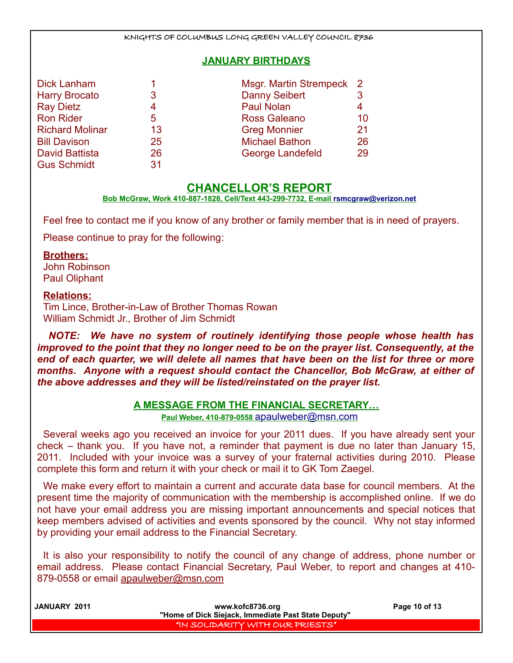### **JANUARY BIRTHDAYS**

| Dick Lanham            |    | Msgr. Martin Strempeck 2 |    |
|------------------------|----|--------------------------|----|
| <b>Harry Brocato</b>   | 3  | <b>Danny Seibert</b>     |    |
| <b>Ray Dietz</b>       | 4  | <b>Paul Nolan</b>        |    |
| <b>Ron Rider</b>       | 5  | <b>Ross Galeano</b>      | 10 |
| <b>Richard Molinar</b> | 13 | <b>Greg Monnier</b>      | 21 |
| <b>Bill Davison</b>    | 25 | <b>Michael Bathon</b>    | 26 |
| <b>David Battista</b>  | 26 | <b>George Landefeld</b>  | 29 |
| <b>Gus Schmidt</b>     | 31 |                          |    |

### **CHANCELLOR'S REPORT**

 **Bob McGraw, Work 410-887-1828, Cell/Text 443-299-7732, E-mail [rsmcgraw@verizon.net](mailto:rsmcgraw@verizon.net)**

Feel free to contact me if you know of any brother or family member that is in need of prayers.

Please continue to pray for the following:

### **Brothers:**

John Robinson Paul Oliphant

### **Relations:**

Tim Lince, Brother-in-Law of Brother Thomas Rowan William Schmidt Jr., Brother of Jim Schmidt

*NOTE: We have no system of routinely identifying those people whose health has improved to the point that they no longer need to be on the prayer list. Consequently, at the end of each quarter, we will delete all names that have been on the list for three or more months. Anyone with a request should contact the Chancellor, Bob McGraw, at either of the above addresses and they will be listed/reinstated on the prayer list.*

### **A MESSAGE FROM THE FINANCIAL SECRETARY…**

**Paul Weber, 410-879-0558** [apaulweber@msn.com](mailto:apaulweber@msn.com)

Several weeks ago you received an invoice for your 2011 dues. If you have already sent your check – thank you. If you have not, a reminder that payment is due no later than January 15, 2011. Included with your invoice was a survey of your fraternal activities during 2010. Please complete this form and return it with your check or mail it to GK Tom Zaegel.

We make every effort to maintain a current and accurate data base for council members. At the present time the majority of communication with the membership is accomplished online. If we do not have your email address you are missing important announcements and special notices that keep members advised of activities and events sponsored by the council. Why not stay informed by providing your email address to the Financial Secretary.

It is also your responsibility to notify the council of any change of address, phone number or email address. Please contact Financial Secretary, Paul Weber, to report and changes at 410- 879-0558 or email [apaulweber@msn.com](mailto:apaulweber@msn.com)

| JANUARY 2011 | www.kofc8736.org                                    | Page 10 of 13 |
|--------------|-----------------------------------------------------|---------------|
|              | "Home of Dick Siejack, Immediate Past State Deputy" |               |
|              | "IN SOLIDARITY WITH OUR PRIESTS"                    |               |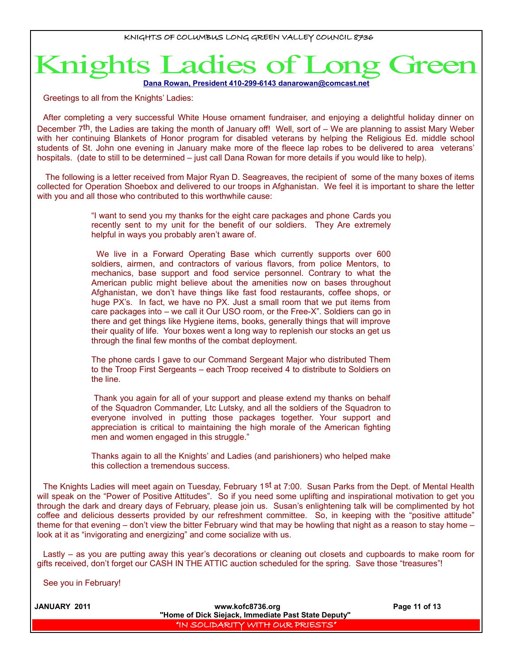# Ladies of Knights

 **Dana Rowan, President 410-299-6143 [danarowan@comcast.net](mailto:danarowan@comcast.net)**

Greetings to all from the Knights' Ladies:

After completing a very successful White House ornament fundraiser, and enjoying a delightful holiday dinner on December  $7<sup>th</sup>$ , the Ladies are taking the month of January off! Well, sort of – We are planning to assist Mary Weber with her continuing Blankets of Honor program for disabled veterans by helping the Religious Ed. middle school students of St. John one evening in January make more of the fleece lap robes to be delivered to area veterans' hospitals. (date to still to be determined – just call Dana Rowan for more details if you would like to help).

The following is a letter received from Major Ryan D. Seagreaves, the recipient of some of the many boxes of items collected for Operation Shoebox and delivered to our troops in Afghanistan. We feel it is important to share the letter with you and all those who contributed to this worthwhile cause:

> "I want to send you my thanks for the eight care packages and phone Cards you recently sent to my unit for the benefit of our soldiers. They Are extremely helpful in ways you probably aren't aware of.

> We live in a Forward Operating Base which currently supports over 600 soldiers, airmen, and contractors of various flavors, from police Mentors, to mechanics, base support and food service personnel. Contrary to what the American public might believe about the amenities now on bases throughout Afghanistan, we don't have things like fast food restaurants, coffee shops, or huge PX's. In fact, we have no PX. Just a small room that we put items from care packages into – we call it Our USO room, or the Free-X". Soldiers can go in there and get things like Hygiene items, books, generally things that will improve their quality of life. Your boxes went a long way to replenish our stocks an get us through the final few months of the combat deployment.

> The phone cards I gave to our Command Sergeant Major who distributed Them to the Troop First Sergeants – each Troop received 4 to distribute to Soldiers on the line.

> Thank you again for all of your support and please extend my thanks on behalf of the Squadron Commander, Ltc Lutsky, and all the soldiers of the Squadron to everyone involved in putting those packages together. Your support and appreciation is critical to maintaining the high morale of the American fighting men and women engaged in this struggle."

> Thanks again to all the Knights' and Ladies (and parishioners) who helped make this collection a tremendous success.

The Knights Ladies will meet again on Tuesday, February 1st at 7:00. Susan Parks from the Dept. of Mental Health will speak on the "Power of Positive Attitudes". So if you need some uplifting and inspirational motivation to get you through the dark and dreary days of February, please join us. Susan's enlightening talk will be complimented by hot coffee and delicious desserts provided by our refreshment committee. So, in keeping with the "positive attitude" theme for that evening – don't view the bitter February wind that may be howling that night as a reason to stay home – look at it as "invigorating and energizing" and come socialize with us.

Lastly – as you are putting away this year's decorations or cleaning out closets and cupboards to make room for gifts received, don't forget our CASH IN THE ATTIC auction scheduled for the spring. Save those "treasures"!

See you in February!

| <b>JANUARY 2011</b> | www.kofc8736.org<br>"Home of Dick Siejack, Immediate Past State Deputy" | Page 11 of 13 |
|---------------------|-------------------------------------------------------------------------|---------------|
|                     | I "IN SOLIDARITY WITH OUR PRIESTS" I                                    |               |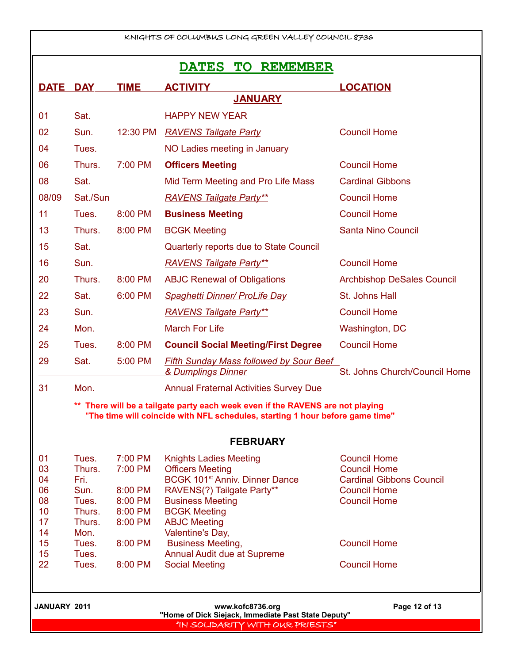| KNIGHTS OF COLUMBUS LONG GREEN VALLEY COUNCIL 8736                                                                                                           |                 |                    |                                                                         |                                            |
|--------------------------------------------------------------------------------------------------------------------------------------------------------------|-----------------|--------------------|-------------------------------------------------------------------------|--------------------------------------------|
| <b>TO</b><br><b>DATES</b><br><b>REMEMBER</b>                                                                                                                 |                 |                    |                                                                         |                                            |
| <b>DATE</b>                                                                                                                                                  | <b>DAY</b>      | <b>TIME</b>        | <b>ACTIVITY</b>                                                         | <b>LOCATION</b>                            |
|                                                                                                                                                              |                 |                    | <b>JANUARY</b>                                                          |                                            |
| 01                                                                                                                                                           | Sat.            |                    | <b>HAPPY NEW YEAR</b>                                                   |                                            |
| 02                                                                                                                                                           | Sun.            | 12:30 PM           | <b>RAVENS Tailgate Party</b>                                            | <b>Council Home</b>                        |
| 04                                                                                                                                                           | Tues.           |                    | NO Ladies meeting in January                                            |                                            |
| 06                                                                                                                                                           | Thurs.          | 7:00 PM            | <b>Officers Meeting</b>                                                 | <b>Council Home</b>                        |
| 08                                                                                                                                                           | Sat.            |                    | Mid Term Meeting and Pro Life Mass                                      | <b>Cardinal Gibbons</b>                    |
| 08/09                                                                                                                                                        | Sat./Sun        |                    | <b>RAVENS Tailgate Party**</b>                                          | <b>Council Home</b>                        |
| 11                                                                                                                                                           | Tues.           | 8:00 PM            | <b>Business Meeting</b>                                                 | <b>Council Home</b>                        |
| 13                                                                                                                                                           | Thurs.          | 8:00 PM            | <b>BCGK Meeting</b>                                                     | <b>Santa Nino Council</b>                  |
| 15                                                                                                                                                           | Sat.            |                    | Quarterly reports due to State Council                                  |                                            |
| 16                                                                                                                                                           | Sun.            |                    | <b>RAVENS Tailgate Party**</b>                                          | <b>Council Home</b>                        |
| 20                                                                                                                                                           | Thurs.          | 8:00 PM            | <b>ABJC Renewal of Obligations</b>                                      | <b>Archbishop DeSales Council</b>          |
| 22                                                                                                                                                           | Sat.            | 6:00 PM            | <b>Spaghetti Dinner/ ProLife Day</b>                                    | St. Johns Hall                             |
| 23                                                                                                                                                           | Sun.            |                    | <b>RAVENS Tailgate Party**</b>                                          | <b>Council Home</b>                        |
| 24                                                                                                                                                           | Mon.            |                    | <b>March For Life</b>                                                   | Washington, DC                             |
| 25                                                                                                                                                           | Tues.           | 8:00 PM            | <b>Council Social Meeting/First Degree</b>                              | <b>Council Home</b>                        |
| 29                                                                                                                                                           | Sat.            | 5:00 PM            | <b>Fifth Sunday Mass followed by Sour Beef</b><br>& Dumplings Dinner    | St. Johns Church/Council Home              |
| 31                                                                                                                                                           | Mon.            |                    | <b>Annual Fraternal Activities Survey Due</b>                           |                                            |
| There will be a tailgate party each week even if the RAVENS are not playing<br>"The time will coincide with NFL schedules, starting 1 hour before game time" |                 |                    |                                                                         |                                            |
|                                                                                                                                                              |                 |                    | <b>FEBRUARY</b>                                                         |                                            |
| 01<br>03                                                                                                                                                     | Tues.<br>Thurs. | 7:00 PM<br>7:00 PM | <b>Knights Ladies Meeting</b><br><b>Officers Meeting</b>                | <b>Council Home</b><br><b>Council Home</b> |
| 04                                                                                                                                                           | Fri.            |                    | BCGK 101 <sup>st</sup> Anniv. Dinner Dance                              | <b>Cardinal Gibbons Council</b>            |
| 06<br>08                                                                                                                                                     | Sun.<br>Tues.   | 8:00 PM<br>8:00 PM | RAVENS(?) Tailgate Party**<br><b>Business Meeting</b>                   | <b>Council Home</b><br><b>Council Home</b> |
| 10                                                                                                                                                           | Thurs.          | 8:00 PM            | <b>BCGK Meeting</b>                                                     |                                            |
| 17                                                                                                                                                           | Thurs.          | 8:00 PM            | <b>ABJC Meeting</b>                                                     |                                            |
| 14<br>15                                                                                                                                                     | Mon.<br>Tues.   | 8:00 PM            | Valentine's Day,<br><b>Business Meeting,</b>                            | <b>Council Home</b>                        |
| 15                                                                                                                                                           | Tues.           |                    | Annual Audit due at Supreme                                             |                                            |
| 22                                                                                                                                                           | Tues.           | 8:00 PM            | <b>Social Meeting</b>                                                   | <b>Council Home</b>                        |
| <b>JANUARY 2011</b>                                                                                                                                          |                 |                    | www.kofc8736.org<br>"Home of Dick Siejack, Immediate Past State Deputy" | Page 12 of 13                              |
|                                                                                                                                                              |                 |                    | "IN SOLIDARITY WITH OUR PRIESTS"                                        |                                            |